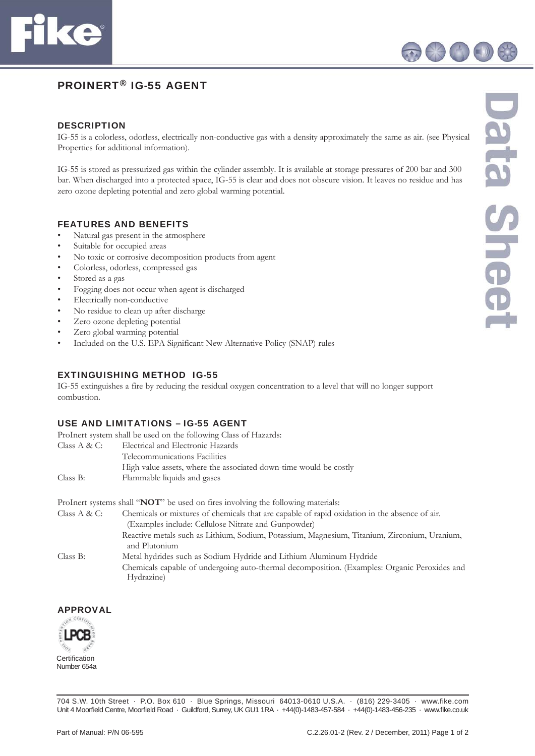

# PROINERT® IG-55 AGENT

#### **DESCRIPTION**

IG-55 is a colorless, odorless, electrically non-conductive gas with a density approximately the same as air. (see Physical Properties for additional information).

IG-55 is stored as pressurized gas within the cylinder assembly. It is available at storage pressures of 200 bar and 300 bar. When discharged into a protected space, IG-55 is clear and does not obscure vision. It leaves no residue and has zero ozone depleting potential and zero global warming potential.

#### FEATURES AND BENEFITS

- Natural gas present in the atmosphere
- Suitable for occupied areas
- No toxic or corrosive decomposition products from agent
- Colorless, odorless, compressed gas
- Stored as a gas
- Fogging does not occur when agent is discharged
- Electrically non-conductive
- No residue to clean up after discharge
- Zero ozone depleting potential
- Zero global warming potential
- Included on the U.S. EPA Significant New Alternative Policy (SNAP) rules

### EXTINGUISHING METHOD IG-55

IG-55 extinguishes a fire by reducing the residual oxygen concentration to a level that will no longer support combustion.

### USE AND LIMITATIONS – IG-55 AGENT

ProInert system shall be used on the following Class of Hazards:

| Class $A & C$ : | Electrical and Electronic Hazards                                 |
|-----------------|-------------------------------------------------------------------|
|                 | Telecommunications Facilities                                     |
|                 | High value assets, where the associated down-time would be costly |
| Class B:        | Flammable liquids and gases                                       |

ProInert systems shall "**NOT**" be used on fires involving the following materials:

Class A & C: Chemicals or mixtures of chemicals that are capable of rapid oxidation in the absence of air. (Examples include: Cellulose Nitrate and Gunpowder) Reactive metals such as Lithium, Sodium, Potassium, Magnesium, Titanium, Zirconium, Uranium, and Plutonium Class B: Metal hydrides such as Sodium Hydride and Lithium Aluminum Hydride Chemicals capable of undergoing auto-thermal decomposition. (Examples: Organic Peroxides and Hydrazine)

# APPROVAL



704 S.W. 10th Street · P.O. Box 610 · Blue Springs, Missouri 64013-0610 U.S.A. · (816) 229-3405 · www.fike.com Unit 4 Moorfield Centre, Moorfield Road · Guildford, Surrey, UK GU1 1RA · +44(0)-1483-457-584 · +44(0)-1483-456-235 · www.fike.co.uk